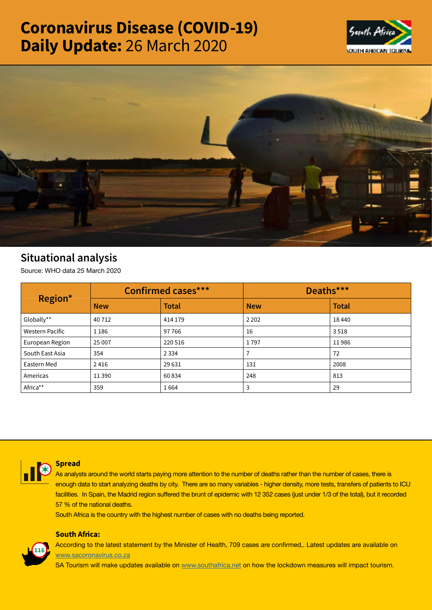# Coronavirus Disease (COVID-19) Daily Update: 26 March 2020





## Situational analysis

Source: WHO data 25 March 2020

| Region*                | <b>Confirmed cases***</b> |              | Deaths***  |              |
|------------------------|---------------------------|--------------|------------|--------------|
|                        | <b>New</b>                | <b>Total</b> | <b>New</b> | <b>Total</b> |
| Globally**             | 40712                     | 414 179      | 2 2 0 2    | 18440        |
| <b>Western Pacific</b> | 1 1 8 6                   | 97766        | 16         | 3518         |
| European Region        | 25 007                    | 220 516      | 1797       | 11986        |
| South East Asia        | 354                       | 2 3 3 4      |            | 72           |
| Eastern Med            | 2416                      | 29 631       | 131        | 2008         |
| Americas               | 11 3 9 0                  | 60834        | 248        | 813          |
| Africa**               | 359                       | 1664         | 3          | 29           |



### Spread

As analysts around the world starts paying more attention to the number of deaths rather than the number of cases, there is enough data to start analyzing deaths by city. There are so many variables - higher density, more tests, transfers of patients to ICU facilities. In Spain, the Madrid region suffered the brunt of epidemic with 12 352 cases (just under 1/3 of the total), but it recorded 57 % of the national deaths.

South Africa is the country with the highest number of cases with no deaths being reported.

### South Africa:



According to the latest statement by the Minister of Health, 709 cases are confirmed,. Latest updates are available on [www.sacoronavirus.co.za](http://www.sacoronavirus.co.za)

SA Tourism will make updates available on [www.southafrica.net](http://www.southafrica.net) on how the lockdown measures will impact tourism.